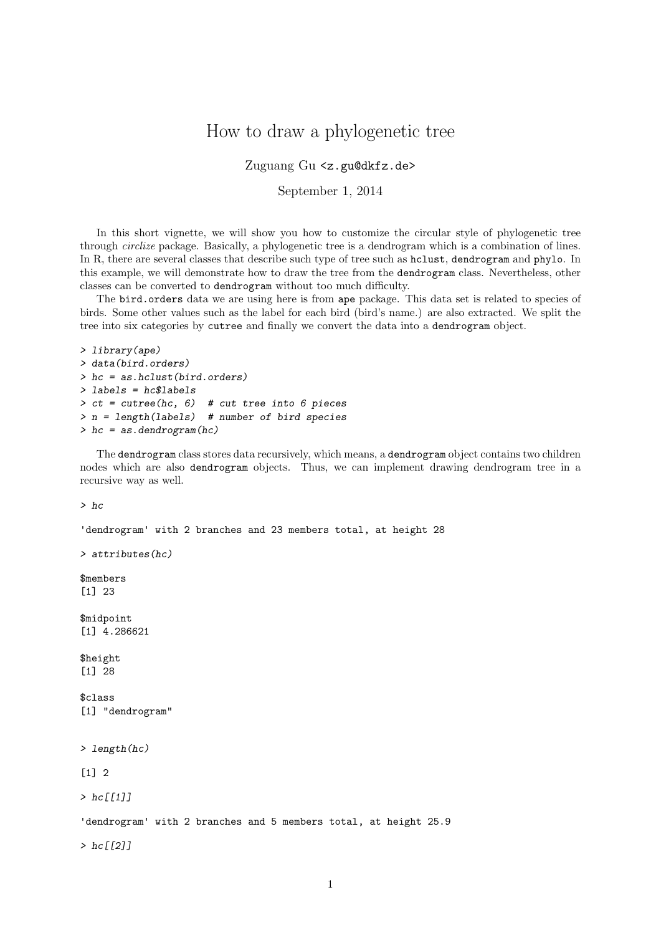## How to draw a phylogenetic tree

Zuguang Gu <z.gu@dkfz.de>

September 1, 2014

In this short vignette, we will show you how to customize the circular style of phylogenetic tree through circlize package. Basically, a phylogenetic tree is a dendrogram which is a combination of lines. In R, there are several classes that describe such type of tree such as hclust, dendrogram and phylo. In this example, we will demonstrate how to draw the tree from the dendrogram class. Nevertheless, other classes can be converted to dendrogram without too much difficulty.

The bird.orders data we are using here is from ape package. This data set is related to species of birds. Some other values such as the label for each bird (bird's name.) are also extracted. We split the tree into six categories by cutree and finally we convert the data into a dendrogram object.

```
> library(ape)
> data(bird.orders)
> hc = as.hclust(bird.orders)
> labels = hc$labels
> ct = cutree(hc, 6) # cut tree into 6 pieces
> n = length(labels) # number of bird species
> hc = as.dendrogram(hc)
```
The dendrogram class stores data recursively, which means, a dendrogram object contains two children nodes which are also dendrogram objects. Thus, we can implement drawing dendrogram tree in a recursive way as well.

> hc

```
'dendrogram' with 2 branches and 23 members total, at height 28
> attributes(hc)
$members
[1] 23
$midpoint
[1] 4.286621
$height
[1] 28
$class
[1] "dendrogram"
> length(hc)
\lceil 1 \rceil 2
> hc[[1]]'dendrogram' with 2 branches and 5 members total, at height 25.9
> hc[[2]]
```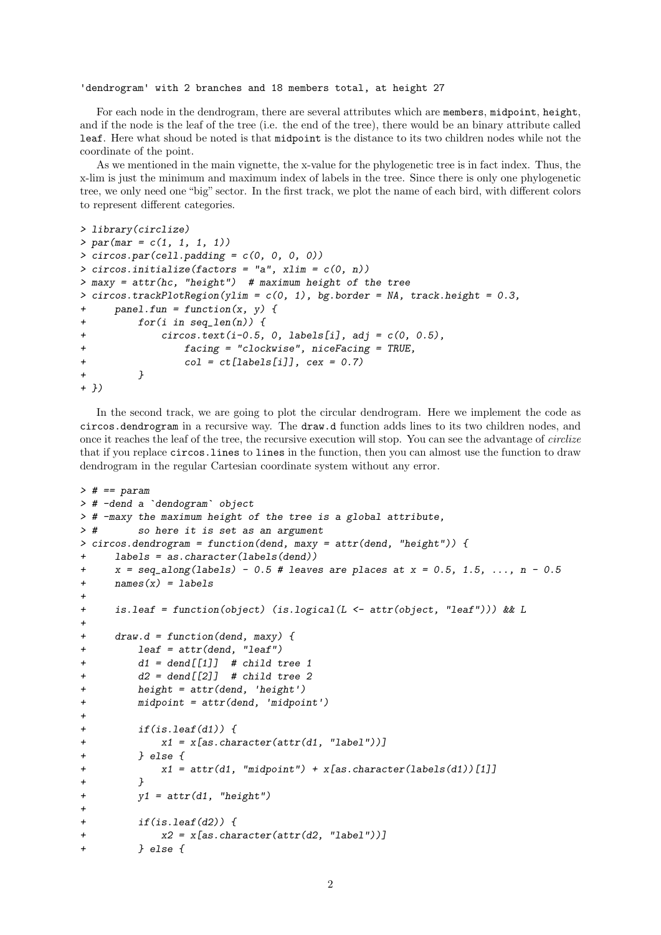'dendrogram' with 2 branches and 18 members total, at height 27

For each node in the dendrogram, there are several attributes which are members, midpoint, height, and if the node is the leaf of the tree (i.e. the end of the tree), there would be an binary attribute called leaf. Here what shoud be noted is that midpoint is the distance to its two children nodes while not the coordinate of the point.

As we mentioned in the main vignette, the x-value for the phylogenetic tree is in fact index. Thus, the x-lim is just the minimum and maximum index of labels in the tree. Since there is only one phylogenetic tree, we only need one "big" sector. In the first track, we plot the name of each bird, with different colors to represent different categories.

```
> library(circlize)
> par(max = c(1, 1, 1, 1))> circos.par(cell.padding = c(0, 0, 0, 0))
> circos.initialize(factors = "a", xlim = c(0, n))
> maxy = attr(hc, "height") # maximum height of the tree
> circos.trackPlotRegion(ylim = c(0, 1), bg.border = NA, track.height = 0.3,
+ panel.fun = function(x, y) {
+ for(i in seq_len(n)) {
+ \qquad \qquad \text{circ}.\text{text}(i-0.5, 0, \text{labels}[i], \text{adj} = c(0, 0.5),+ facing = "clockwise", niceFacing = TRUE,
+ col = ct[labels[i]], cex = 0.7)
+ }
+ })
```
In the second track, we are going to plot the circular dendrogram. Here we implement the code as circos.dendrogram in a recursive way. The draw.d function adds lines to its two children nodes, and once it reaches the leaf of the tree, the recursive execution will stop. You can see the advantage of circlize that if you replace circos.lines to lines in the function, then you can almost use the function to draw dendrogram in the regular Cartesian coordinate system without any error.

```
> # == param
> # -dend a `dendogram` object
> # -maxy the maximum height of the tree is a global attribute,
> # so here it is set as an argument
> circos.dendrogram = function(dend, maxy = attr(dend, "height")) {
+ labels = as.character(labels(dend))
\tau x = seq_along(labels) - 0.5 # leaves are places at x = 0.5, 1.5, ..., n - 0.5
+ names(x) = labels
+
+ is.leaf = function(object) (is.logical(L <- attr(object, "leaf"))) && L
+
+ draw.d = function(dend, maxy) {
+ leaf = attr(dend, "leaf")
+ d1 = dend[[1]] # child tree 1+ d2 = dend [[2]] # child tree 2
+ height = attr(dend, 'height')
+ midpoint = attr(dend, 'midpoint')
+
+ if(is.leaf(d1)) {
+ x1 = x[as.character(attr(d1, "label"))]
+ } else {
+ x1 = \text{attr}(d1, \text{ 'midpoint''}) + x[\text{as. character}(\text{labels}(d1))][1]]+ }
+ y1 = attr(d1, "height")+
         if(is.leaf(d2)) {
+ x2 = x[as.charAtaracter(attr(d2, "label"))]} else \{
```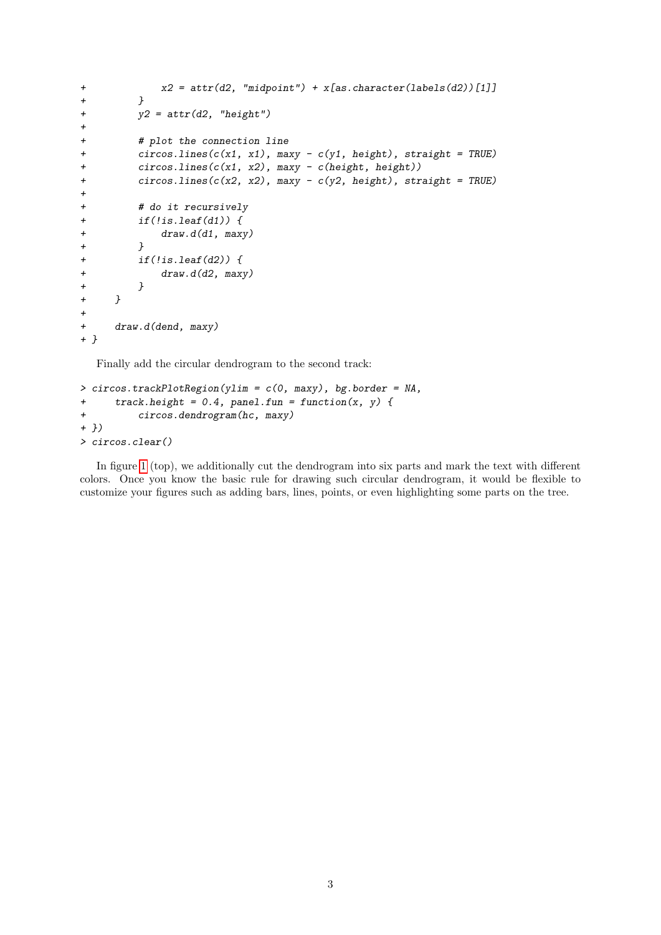```
+ x2 = \text{attr}(d2, \text{ "midpoint"}) + x[\text{as}.\text{character}(\text{labels}(d2))][1]]+ }
+ y2 = attr(d2, "height")
+
+ # plot the connection line
+ circos.lines(c(x1, x1), maxy - c(y1, height), straight = TRUE)
+ circos.lines(c(x1, x2), maxy - c(height, height))
+ circos.lines(c(x2, x2), maxy - c(y2, height), straight = TRUE)
+
+ # do it recursively
+ if(!is.leaf(d1)) {
+ draw.d(d1, maxy)
+ }
+ if(!is.leaf(d2)) {
+ draw.d(d2, maxy)
+ }
+ }
+
+ draw.d(dend, maxy)
+ }
```
Finally add the circular dendrogram to the second track:

```
> circos.trackPlotRegion(ylim = c(0, \text{maxy}), bg.border = NA,
+ track. height = 0.4, panel. fun = function(x, y) {
+ circos.dendrogram(hc, maxy)
+ })
> circos.clear()
```
In figure [1](#page-3-0) (top), we additionally cut the dendrogram into six parts and mark the text with different colors. Once you know the basic rule for drawing such circular dendrogram, it would be flexible to customize your figures such as adding bars, lines, points, or even highlighting some parts on the tree.